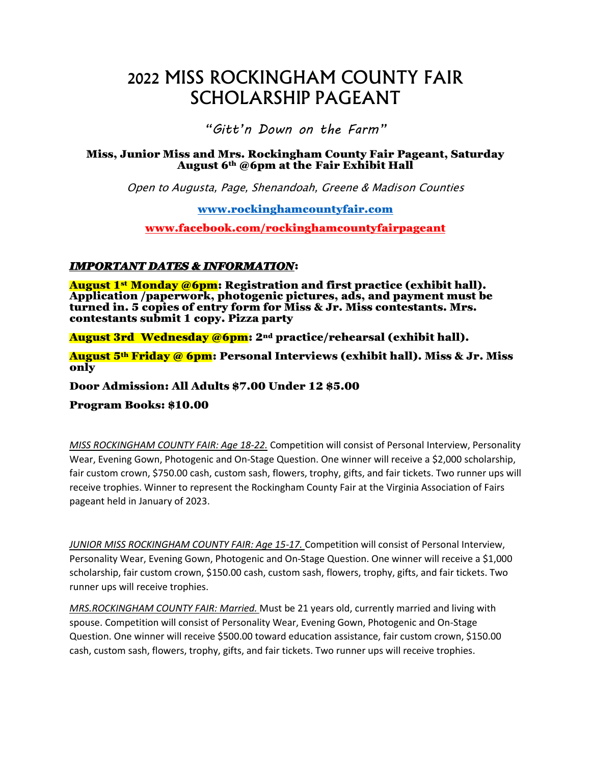# 2022 MISS ROCKINGHAM COUNTY FAIR SCHOLARSHIP PAGEANT

*"Gitt'n Down on the Farm"*

#### Miss, Junior Miss and Mrs. Rockingham County Fair Pageant, Saturday August  $6<sup>th</sup>$  @6pm at the Fair Exhibit Hall

Open to Augusta, Page, Shenandoah, Greene & Madison Counties

[www.rockinghamcountyfair.com](http://www.rockinghamcountyfair.com/)

[www.facebook.com/rockinghamcountyfairpageant](http://www.facebook.com/rockinghamcountyfairpageant)

#### *IMPORTANT DATES & INFORMATION*:

August 1<sup>st</sup> Monday @6pm: Registration and first practice (exhibit hall). Application /paperwork, photogenic pictures, ads, and payment must be turned in. 5 copies of entry form for Miss & Jr. Miss contestants. Mrs. contestants submit 1 copy. Pizza party

August 3rd Wednesday @6pm: 2nd practice/rehearsal (exhibit hall).

August 5<sup>th</sup> Friday @ 6pm: Personal Interviews (exhibit hall). Miss & Jr. Miss only

Door Admission: All Adults \$7.00 Under 12 \$5.00

Program Books: \$10.00

*MISS ROCKINGHAM COUNTY FAIR: Age 18-22.* Competition will consist of Personal Interview, Personality Wear, Evening Gown, Photogenic and On-Stage Question. One winner will receive a \$2,000 scholarship, fair custom crown, \$750.00 cash, custom sash, flowers, trophy, gifts, and fair tickets. Two runner ups will receive trophies. Winner to represent the Rockingham County Fair at the Virginia Association of Fairs pageant held in January of 2023.

*JUNIOR MISS ROCKINGHAM COUNTY FAIR: Age 15-17.* Competition will consist of Personal Interview, Personality Wear, Evening Gown, Photogenic and On-Stage Question. One winner will receive a \$1,000 scholarship, fair custom crown, \$150.00 cash, custom sash, flowers, trophy, gifts, and fair tickets. Two runner ups will receive trophies.

*MRS.ROCKINGHAM COUNTY FAIR: Married.* Must be 21 years old, currently married and living with spouse. Competition will consist of Personality Wear, Evening Gown, Photogenic and On-Stage Question. One winner will receive \$500.00 toward education assistance, fair custom crown, \$150.00 cash, custom sash, flowers, trophy, gifts, and fair tickets. Two runner ups will receive trophies.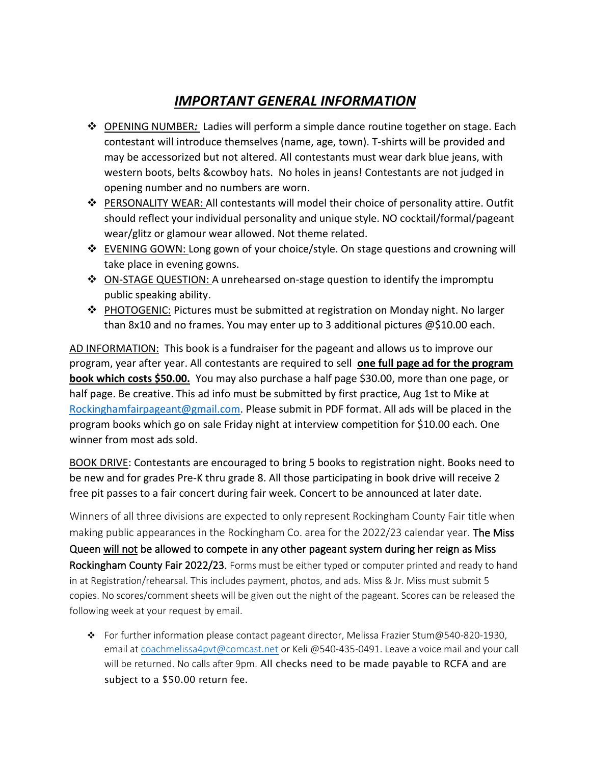## *IMPORTANT GENERAL INFORMATION*

- ❖ OPENING NUMBER*:* Ladies will perform a simple dance routine together on stage. Each contestant will introduce themselves (name, age, town). T-shirts will be provided and may be accessorized but not altered. All contestants must wear dark blue jeans, with western boots, belts &cowboy hats. No holes in jeans! Contestants are not judged in opening number and no numbers are worn.
- ❖ PERSONALITY WEAR: All contestants will model their choice of personality attire. Outfit should reflect your individual personality and unique style. NO cocktail/formal/pageant wear/glitz or glamour wear allowed. Not theme related.
- ❖ EVENING GOWN: Long gown of your choice/style. On stage questions and crowning will take place in evening gowns.
- ❖ ON-STAGE QUESTION: A unrehearsed on-stage question to identify the impromptu public speaking ability.
- ❖ PHOTOGENIC: Pictures must be submitted at registration on Monday night. No larger than 8x10 and no frames. You may enter up to 3 additional pictures @\$10.00 each.

AD INFORMATION: This book is a fundraiser for the pageant and allows us to improve our program, year after year. All contestants are required to sell **one full page ad for the program book which costs \$50.00.** You may also purchase a half page \$30.00, more than one page, or half page. Be creative. This ad info must be submitted by first practice, Aug 1st to Mike at [Rockinghamfairpageant@gmail.com.](mailto:Rockinghamfairpageant@gmail.com) Please submit in PDF format. All ads will be placed in the program books which go on sale Friday night at interview competition for \$10.00 each. One winner from most ads sold.

BOOK DRIVE: Contestants are encouraged to bring 5 books to registration night. Books need to be new and for grades Pre-K thru grade 8. All those participating in book drive will receive 2 free pit passes to a fair concert during fair week. Concert to be announced at later date.

Winners of all three divisions are expected to only represent Rockingham County Fair title when making public appearances in the Rockingham Co. area for the 2022/23 calendar year. The Miss Queen will not be allowed to compete in any other pageant system during her reign as Miss Rockingham County Fair 2022/23. Forms must be either typed or computer printed and ready to hand in at Registration/rehearsal. This includes payment, photos, and ads. Miss & Jr. Miss must submit 5 copies. No scores/comment sheets will be given out the night of the pageant. Scores can be released the following week at your request by email.

❖ For further information please contact pageant director, Melissa Frazier Stum@540-820-1930, email at [coachmelissa4pvt@comcast.net](mailto:coachmelissa4pvt@comcast.net) or Keli @540-435-0491. Leave a voice mail and your call will be returned. No calls after 9pm. All checks need to be made payable to RCFA and are subject to a \$50.00 return fee.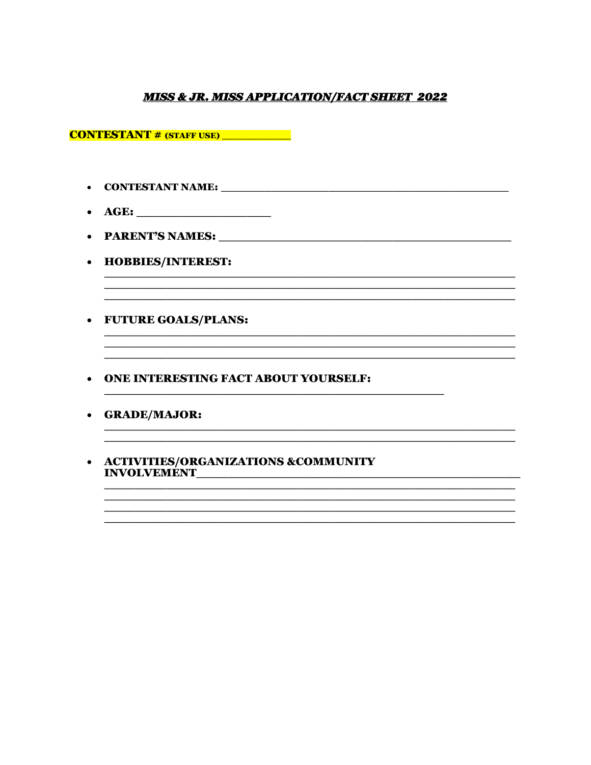#### **MISS & JR. MISS APPLICATION/FACT SHEET 2022**

<u> 1989 - Johann John Harry Harry Harry Harry Harry Harry Harry Harry Harry Harry Harry Harry Harry Harry Harry</u>

<u> 1980 - Johann John Harry, mars ar yw i ganwys y cynnwys y cynnwys y cynnwys y cynnwys y cynnwys y cynnwys y c</u>

<u> 1989 - Jan James James James James James James James James James James James James James James James James</u>

**CONTESTANT # (STAFF USE)** 

- 
- 
- 
- HOBBIES/INTEREST:
- FUTURE GOALS/PLANS:
- ONE INTERESTING FACT ABOUT YOURSELF:
- GRADE/MAJOR:
- ACTIVITIES/ORGANIZATIONS &COMMUNITY INVOLVEMENT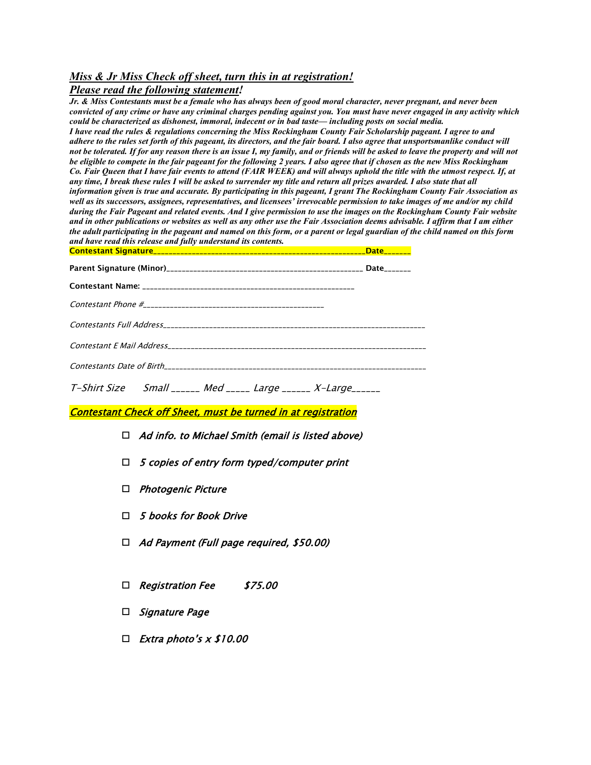#### *Miss & Jr Miss Check off sheet, turn this in at registration!*

#### *Please read the following statement!*

*Jr. & Miss Contestants must be a female who has always been of good moral character, never pregnant, and never been convicted of any crime or have any criminal charges pending against you. You must have never engaged in any activity which could be characterized as dishonest, immoral, indecent or in bad taste— including posts on social media. I have read the rules & regulations concerning the Miss Rockingham County Fair Scholarship pageant. I agree to and*  adhere to the rules set forth of this pageant, its directors, and the fair board. I also agree that unsportsmanlike conduct will *not be tolerated. If for any reason there is an issue I, my family, and or friends will be asked to leave the property and will not be eligible to compete in the fair pageant for the following 2 years. I also agree that if chosen as the new Miss Rockingham Co. Fair Queen that I have fair events to attend (FAIR WEEK) and will always uphold the title with the utmost respect. If, at any time, I break these rules I will be asked to surrender my title and return all prizes awarded. I also state that all information given is true and accurate. By participating in this pageant, I grant The Rockingham County Fair Association as well as its successors, assignees, representatives, and licensees' irrevocable permission to take images of me and/or my child during the Fair Pageant and related events. And I give permission to use the images on the Rockingham County Fair website and in other publications or websites as well as any other use the Fair Association deems advisable. I affirm that I am either the adult participating in the pageant and named on this form, or a parent or legal guardian of the child named on this form and have read this release and fully understand its contents.*  Contestant Signature\_\_\_\_\_\_\_\_\_\_\_\_\_\_\_\_\_\_\_\_\_\_\_\_\_\_\_\_\_\_\_\_\_\_\_\_\_\_\_\_\_\_\_\_\_\_\_\_\_\_\_\_\_\_\_Date\_\_\_\_\_\_\_

#### Contestant Check off Sheet, must be turned in at registration

- $\Box$  Ad info. to Michael Smith (email is listed above)
- $\Box$  5 copies of entry form typed/computer print
- □ Photogenic Picture
- $\Box$  5 books for Book Drive
- $\Box$  Ad Payment (Full page required, \$50.00)
- □ Registration Fee \$75.00
- $\Box$  Signature Page
- $\Box$  Extra photo's x \$10.00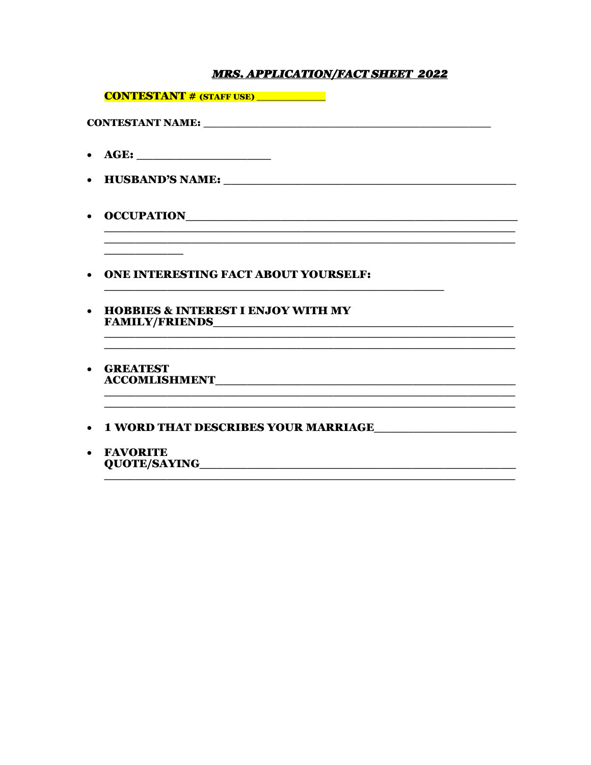### **MRS. APPLICATION/FACT SHEET 2022**

|           | <b>CONTESTANT # (STAFF USE)</b> ___________   |
|-----------|-----------------------------------------------|
|           |                                               |
| $\bullet$ |                                               |
|           |                                               |
| $\bullet$ |                                               |
| $\bullet$ | <b>ONE INTERESTING FACT ABOUT YOURSELF:</b>   |
| $\bullet$ | <b>HOBBIES &amp; INTEREST I ENJOY WITH MY</b> |
| $\bullet$ | <b>GREATEST</b>                               |
|           | • 1 WORD THAT DESCRIBES YOUR MARRIAGE         |

• FAVORITE